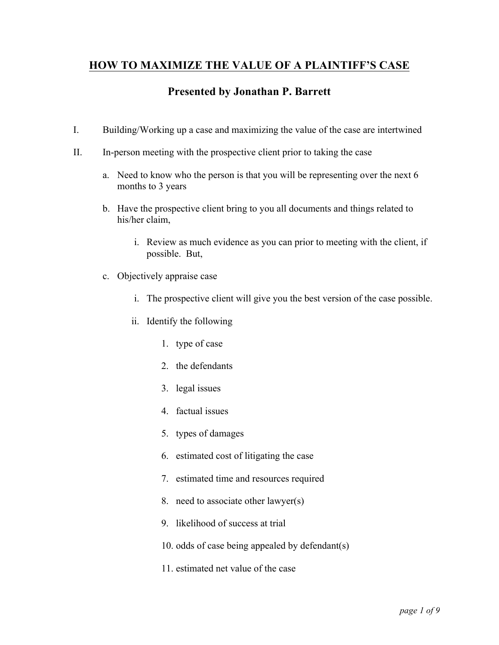# **HOW TO MAXIMIZE THE VALUE OF A PLAINTIFF'S CASE**

# **Presented by Jonathan P. Barrett**

- I. Building/Working up a case and maximizing the value of the case are intertwined
- II. In-person meeting with the prospective client prior to taking the case
	- a. Need to know who the person is that you will be representing over the next 6 months to 3 years
	- b. Have the prospective client bring to you all documents and things related to his/her claim,
		- i. Review as much evidence as you can prior to meeting with the client, if possible. But,
	- c. Objectively appraise case
		- i. The prospective client will give you the best version of the case possible.
		- ii. Identify the following
			- 1. type of case
			- 2. the defendants
			- 3. legal issues
			- 4. factual issues
			- 5. types of damages
			- 6. estimated cost of litigating the case
			- 7. estimated time and resources required
			- 8. need to associate other lawyer(s)
			- 9. likelihood of success at trial
			- 10. odds of case being appealed by defendant(s)
			- 11. estimated net value of the case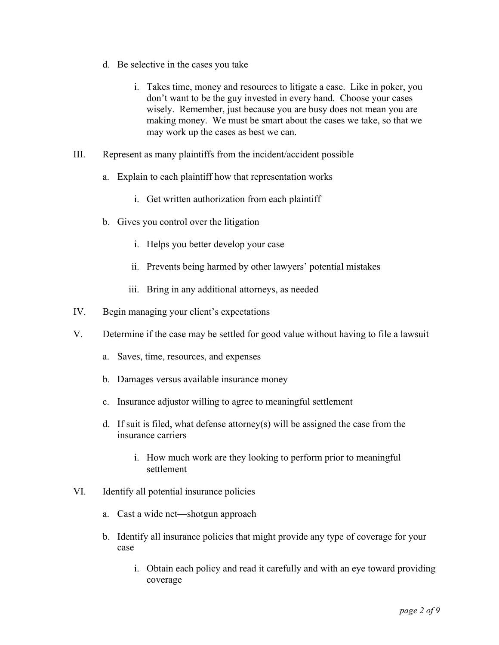- d. Be selective in the cases you take
	- i. Takes time, money and resources to litigate a case. Like in poker, you don't want to be the guy invested in every hand. Choose your cases wisely. Remember, just because you are busy does not mean you are making money. We must be smart about the cases we take, so that we may work up the cases as best we can.
- III. Represent as many plaintiffs from the incident/accident possible
	- a. Explain to each plaintiff how that representation works
		- i. Get written authorization from each plaintiff
	- b. Gives you control over the litigation
		- i. Helps you better develop your case
		- ii. Prevents being harmed by other lawyers' potential mistakes
		- iii. Bring in any additional attorneys, as needed
- IV. Begin managing your client's expectations
- V. Determine if the case may be settled for good value without having to file a lawsuit
	- a. Saves, time, resources, and expenses
	- b. Damages versus available insurance money
	- c. Insurance adjustor willing to agree to meaningful settlement
	- d. If suit is filed, what defense attorney(s) will be assigned the case from the insurance carriers
		- i. How much work are they looking to perform prior to meaningful settlement
- VI. Identify all potential insurance policies
	- a. Cast a wide net—shotgun approach
	- b. Identify all insurance policies that might provide any type of coverage for your case
		- i. Obtain each policy and read it carefully and with an eye toward providing coverage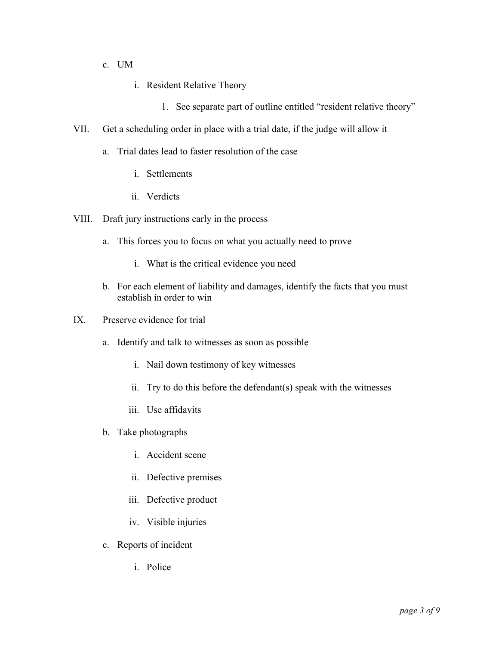- c. UM
	- i. Resident Relative Theory
		- 1. See separate part of outline entitled "resident relative theory"
- VII. Get a scheduling order in place with a trial date, if the judge will allow it
	- a. Trial dates lead to faster resolution of the case
		- i. Settlements
		- ii. Verdicts
- VIII. Draft jury instructions early in the process
	- a. This forces you to focus on what you actually need to prove
		- i. What is the critical evidence you need
	- b. For each element of liability and damages, identify the facts that you must establish in order to win
- IX. Preserve evidence for trial
	- a. Identify and talk to witnesses as soon as possible
		- i. Nail down testimony of key witnesses
		- ii. Try to do this before the defendant(s) speak with the witnesses
		- iii. Use affidavits
	- b. Take photographs
		- i. Accident scene
		- ii. Defective premises
		- iii. Defective product
		- iv. Visible injuries
	- c. Reports of incident
		- i. Police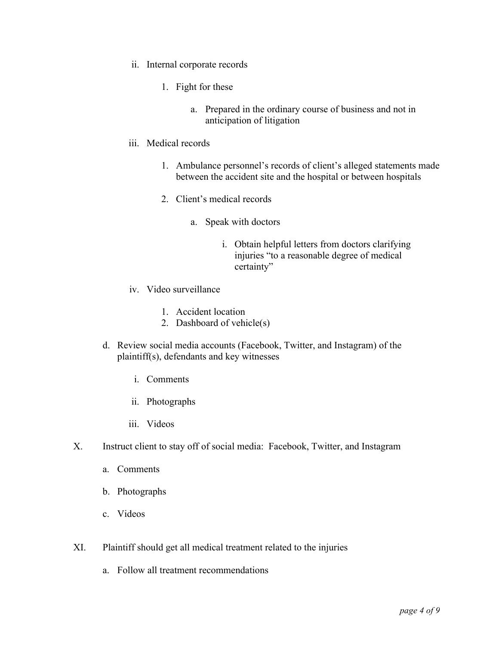- ii. Internal corporate records
	- 1. Fight for these
		- a. Prepared in the ordinary course of business and not in anticipation of litigation
- iii. Medical records
	- 1. Ambulance personnel's records of client's alleged statements made between the accident site and the hospital or between hospitals
	- 2. Client's medical records
		- a. Speak with doctors
			- i. Obtain helpful letters from doctors clarifying injuries "to a reasonable degree of medical certainty"
- iv. Video surveillance
	- 1. Accident location
	- 2. Dashboard of vehicle(s)
- d. Review social media accounts (Facebook, Twitter, and Instagram) of the plaintiff(s), defendants and key witnesses
	- i. Comments
	- ii. Photographs
	- iii. Videos
- X. Instruct client to stay off of social media: Facebook, Twitter, and Instagram
	- a. Comments
	- b. Photographs
	- c. Videos
- XI. Plaintiff should get all medical treatment related to the injuries
	- a. Follow all treatment recommendations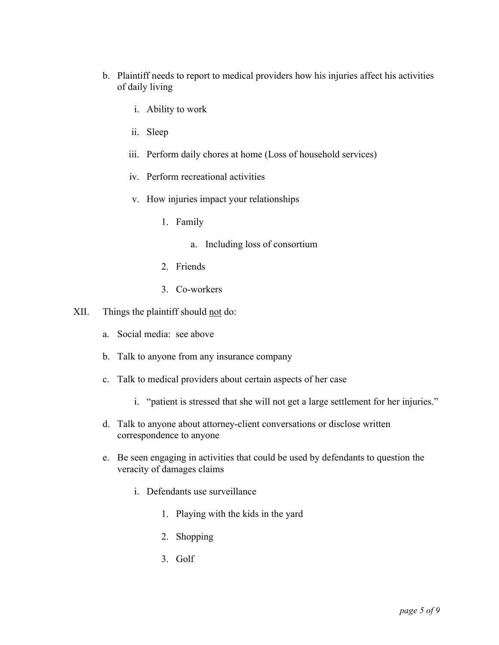- b. Plaintiff needs to report to medical providers how his injuries affect his activities of daily living
	- i. Ability to work
	- ii. Sleep
	- iii. Perform daily chores at home (Loss of household services)
	- iv. Perform recreational activities
	- v. How injuries impact your relationships
		- 1. Family
			- a. Including loss of consortium
		- 2. Friends
		- 3. Co-workers
- XII. Things the plaintiff should not do:
	- a. Social media: see above
	- b. Talk to anyone from any insurance company
	- c. Talk to medical providers about certain aspects of her case
		- i. "patient is stressed that she will not get a large settlement for her injuries."
	- d. Talk to anyone about attorney-client conversations or disclose written correspondence to anyone
	- e. Be seen engaging in activities that could be used by defendants to question the veracity of damages claims
		- i. Defendants use surveillance
			- 1. Playing with the kids in the yard
			- 2. Shopping
			- 3. Golf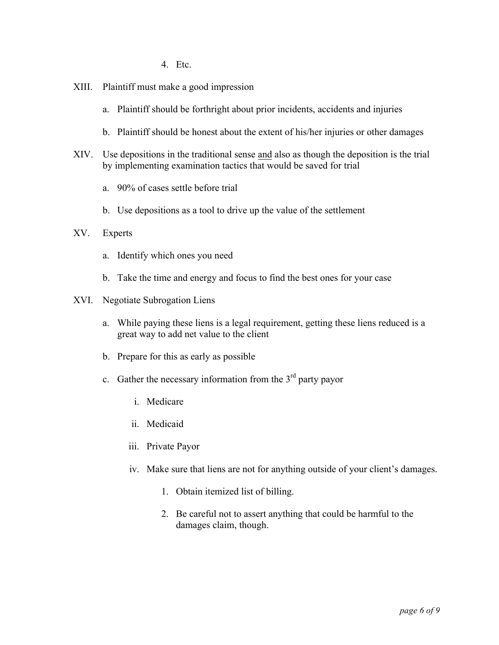4. Etc.

- XIII. Plaintiff must make a good impression
	- a. Plaintiff should be forthright about prior incidents, accidents and injuries
	- b. Plaintiff should be honest about the extent of his/her injuries or other damages
- XIV. Use depositions in the traditional sense and also as though the deposition is the trial by implementing examination tactics that would be saved for trial
	- a. 90% of cases settle before trial
	- b. Use depositions as a tool to drive up the value of the settlement

### XV. Experts

- a. Identify which ones you need
- b. Take the time and energy and focus to find the best ones for your case

#### XVI. Negotiate Subrogation Liens

- a. While paying these liens is a legal requirement, getting these liens reduced is a great way to add net value to the client
- b. Prepare for this as early as possible
- c. Gather the necessary information from the  $3<sup>rd</sup>$  party payor
	- i. Medicare
	- ii. Medicaid
	- iii. Private Payor
	- iv. Make sure that liens are not for anything outside of your client's damages.
		- 1. Obtain itemized list of billing.
		- 2. Be careful not to assert anything that could be harmful to the damages claim, though.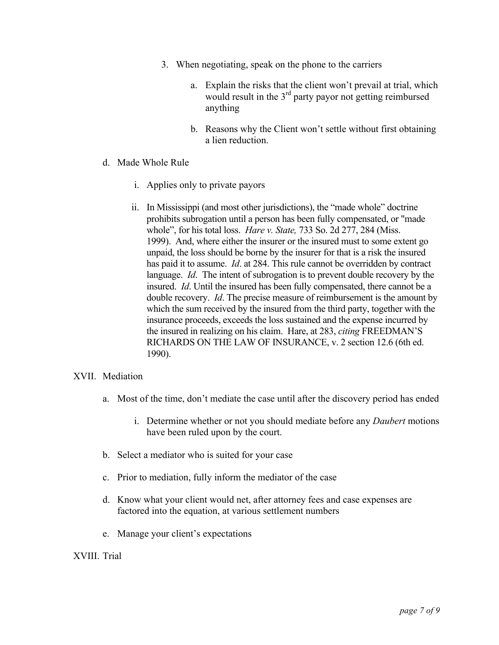- 3. When negotiating, speak on the phone to the carriers
	- a. Explain the risks that the client won't prevail at trial, which would result in the 3<sup>rd</sup> party payor not getting reimbursed anything
	- b. Reasons why the Client won't settle without first obtaining a lien reduction.
- d. Made Whole Rule
	- i. Applies only to private payors
	- ii. In Mississippi (and most other jurisdictions), the "made whole" doctrine prohibits subrogation until a person has been fully compensated, or "made whole", for his total loss. *Hare v. State,* 733 So. 2d 277, 284 (Miss. 1999). And, where either the insurer or the insured must to some extent go unpaid, the loss should be borne by the insurer for that is a risk the insured has paid it to assume. *Id*. at 284. This rule cannot be overridden by contract language. *Id*. The intent of subrogation is to prevent double recovery by the insured. *Id*. Until the insured has been fully compensated, there cannot be a double recovery. *Id*. The precise measure of reimbursement is the amount by which the sum received by the insured from the third party, together with the insurance proceeds, exceeds the loss sustained and the expense incurred by the insured in realizing on his claim. Hare, at 283, *citing* FREEDMAN'S RICHARDS ON THE LAW OF INSURANCE, v. 2 section 12.6 (6th ed. 1990).

## XVII. Mediation

- a. Most of the time, don't mediate the case until after the discovery period has ended
	- i. Determine whether or not you should mediate before any *Daubert* motions have been ruled upon by the court.
- b. Select a mediator who is suited for your case
- c. Prior to mediation, fully inform the mediator of the case
- d. Know what your client would net, after attorney fees and case expenses are factored into the equation, at various settlement numbers
- e. Manage your client's expectations

### XVIII. Trial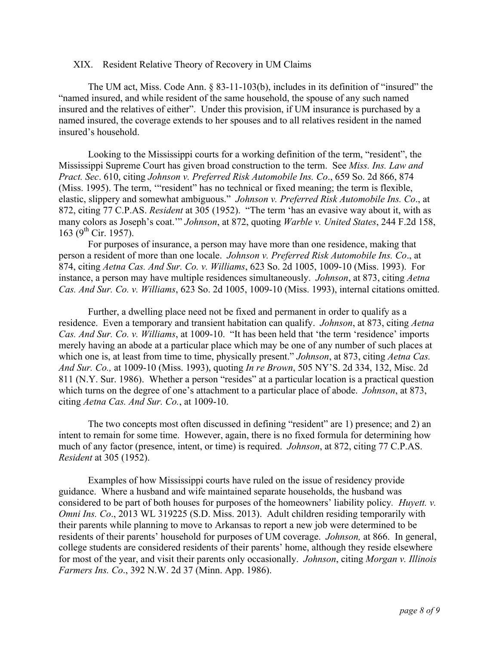#### XIX. Resident Relative Theory of Recovery in UM Claims

The UM act, Miss. Code Ann. § 83-11-103(b), includes in its definition of "insured" the "named insured, and while resident of the same household, the spouse of any such named insured and the relatives of either". Under this provision, if UM insurance is purchased by a named insured, the coverage extends to her spouses and to all relatives resident in the named insured's household.

Looking to the Mississippi courts for a working definition of the term, "resident", the Mississippi Supreme Court has given broad construction to the term. See *Miss. Ins. Law and Pract. Sec*. 610, citing *Johnson v. Preferred Risk Automobile Ins. Co*., 659 So. 2d 866, 874 (Miss. 1995). The term, "resident" has no technical or fixed meaning; the term is flexible, elastic, slippery and somewhat ambiguous." *Johnson v. Preferred Risk Automobile Ins. Co*., at 872, citing 77 C.P.AS. *Resident* at 305 (1952). "The term 'has an evasive way about it, with as many colors as Joseph's coat.'" *Johnson*, at 872, quoting *Warble v. United States*, 244 F.2d 158,  $163$  (9<sup>th</sup> Cir. 1957).

For purposes of insurance, a person may have more than one residence, making that person a resident of more than one locale. *Johnson v. Preferred Risk Automobile Ins. Co*., at 874, citing *Aetna Cas. And Sur. Co. v. Williams*, 623 So. 2d 1005, 1009-10 (Miss. 1993). For instance, a person may have multiple residences simultaneously. *Johnson*, at 873, citing *Aetna Cas. And Sur. Co. v. Williams*, 623 So. 2d 1005, 1009-10 (Miss. 1993), internal citations omitted.

Further, a dwelling place need not be fixed and permanent in order to qualify as a residence. Even a temporary and transient habitation can qualify. *Johnson*, at 873, citing *Aetna Cas. And Sur. Co. v. Williams*, at 1009-10. "It has been held that 'the term 'residence' imports merely having an abode at a particular place which may be one of any number of such places at which one is, at least from time to time, physically present." *Johnson*, at 873, citing *Aetna Cas. And Sur. Co.,* at 1009-10 (Miss. 1993), quoting *In re Brown*, 505 NY'S. 2d 334, 132, Misc. 2d 811 (N.Y. Sur. 1986). Whether a person "resides" at a particular location is a practical question which turns on the degree of one's attachment to a particular place of abode. *Johnson*, at 873, citing *Aetna Cas. And Sur. Co.*, at 1009-10.

The two concepts most often discussed in defining "resident" are 1) presence; and 2) an intent to remain for some time. However, again, there is no fixed formula for determining how much of any factor (presence, intent, or time) is required. *Johnson*, at 872, citing 77 C.P.AS. *Resident* at 305 (1952).

Examples of how Mississippi courts have ruled on the issue of residency provide guidance. Where a husband and wife maintained separate households, the husband was considered to be part of both houses for purposes of the homeowners' liability policy*. Huyett. v. Omni Ins. Co*., 2013 WL 319225 (S.D. Miss. 2013). Adult children residing temporarily with their parents while planning to move to Arkansas to report a new job were determined to be residents of their parents' household for purposes of UM coverage. *Johnson,* at 866. In general, college students are considered residents of their parents' home, although they reside elsewhere for most of the year, and visit their parents only occasionally. *Johnson*, citing *Morgan v. Illinois Farmers Ins. Co*., 392 N.W. 2d 37 (Minn. App. 1986).